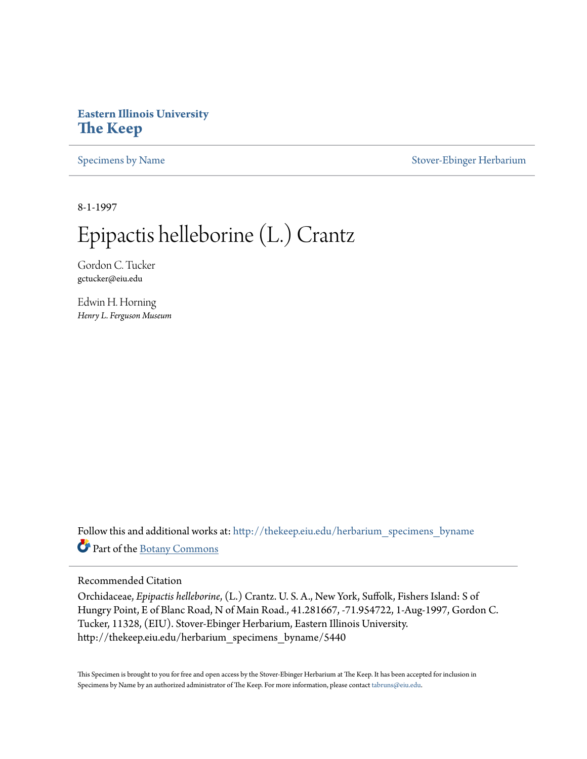## **Eastern Illinois University [The Keep](http://thekeep.eiu.edu?utm_source=thekeep.eiu.edu%2Fherbarium_specimens_byname%2F5440&utm_medium=PDF&utm_campaign=PDFCoverPages)**

[Specimens by Name](http://thekeep.eiu.edu/herbarium_specimens_byname?utm_source=thekeep.eiu.edu%2Fherbarium_specimens_byname%2F5440&utm_medium=PDF&utm_campaign=PDFCoverPages) [Stover-Ebinger Herbarium](http://thekeep.eiu.edu/herbarium?utm_source=thekeep.eiu.edu%2Fherbarium_specimens_byname%2F5440&utm_medium=PDF&utm_campaign=PDFCoverPages)

8-1-1997

## Epipactis helleborine (L.) Crantz

Gordon C. Tucker gctucker@eiu.edu

Edwin H. Horning *Henry L. Ferguson Museum*

Follow this and additional works at: [http://thekeep.eiu.edu/herbarium\\_specimens\\_byname](http://thekeep.eiu.edu/herbarium_specimens_byname?utm_source=thekeep.eiu.edu%2Fherbarium_specimens_byname%2F5440&utm_medium=PDF&utm_campaign=PDFCoverPages) Part of the [Botany Commons](http://network.bepress.com/hgg/discipline/104?utm_source=thekeep.eiu.edu%2Fherbarium_specimens_byname%2F5440&utm_medium=PDF&utm_campaign=PDFCoverPages)

## Recommended Citation

Orchidaceae, *Epipactis helleborine*, (L.) Crantz. U. S. A., New York, Suffolk, Fishers Island: S of Hungry Point, E of Blanc Road, N of Main Road., 41.281667, -71.954722, 1-Aug-1997, Gordon C. Tucker, 11328, (EIU). Stover-Ebinger Herbarium, Eastern Illinois University. http://thekeep.eiu.edu/herbarium\_specimens\_byname/5440

This Specimen is brought to you for free and open access by the Stover-Ebinger Herbarium at The Keep. It has been accepted for inclusion in Specimens by Name by an authorized administrator of The Keep. For more information, please contact [tabruns@eiu.edu](mailto:tabruns@eiu.edu).